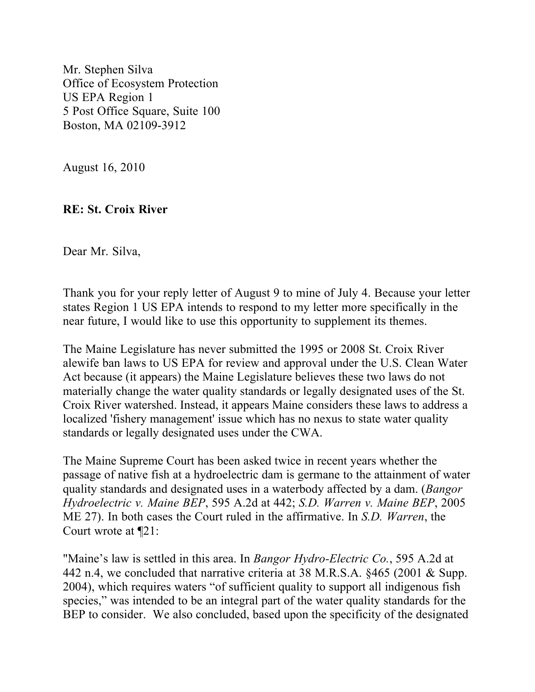Mr. Stephen Silva Office of Ecosystem Protection US EPA Region 1 5 Post Office Square, Suite 100 Boston, MA 02109-3912

August 16, 2010

## **RE: St. Croix River**

Dear Mr. Silva,

Thank you for your reply letter of August 9 to mine of July 4. Because your letter states Region 1 US EPA intends to respond to my letter more specifically in the near future, I would like to use this opportunity to supplement its themes.

The Maine Legislature has never submitted the 1995 or 2008 St. Croix River alewife ban laws to US EPA for review and approval under the U.S. Clean Water Act because (it appears) the Maine Legislature believes these two laws do not materially change the water quality standards or legally designated uses of the St. Croix River watershed. Instead, it appears Maine considers these laws to address a localized 'fishery management' issue which has no nexus to state water quality standards or legally designated uses under the CWA.

The Maine Supreme Court has been asked twice in recent years whether the passage of native fish at a hydroelectric dam is germane to the attainment of water quality standards and designated uses in a waterbody affected by a dam. (*Bangor Hydroelectric v. Maine BEP*, 595 A.2d at 442; *S.D. Warren v. Maine BEP*, 2005 ME 27). In both cases the Court ruled in the affirmative. In *S.D. Warren*, the Court wrote at ¶21:

"Maine's law is settled in this area. In *Bangor Hydro-Electric Co.*, 595 A.2d at 442 n.4, we concluded that narrative criteria at 38 M.R.S.A. §465 (2001 & Supp. 2004), which requires waters "of sufficient quality to support all indigenous fish species," was intended to be an integral part of the water quality standards for the BEP to consider. We also concluded, based upon the specificity of the designated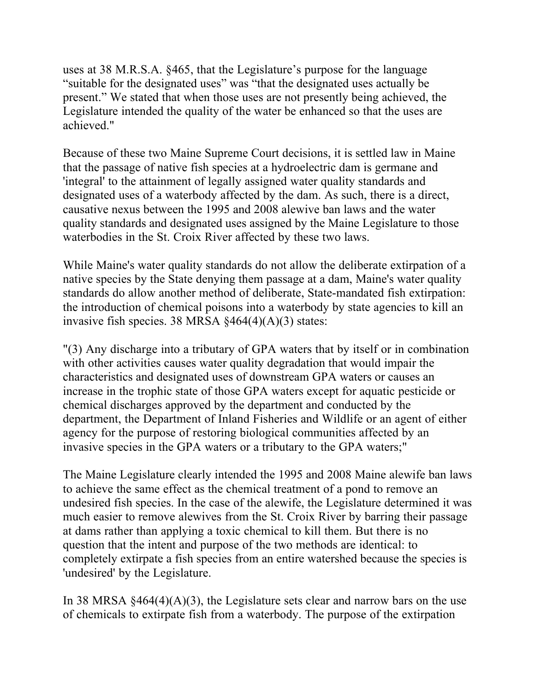uses at 38 M.R.S.A. §465, that the Legislature's purpose for the language "suitable for the designated uses" was "that the designated uses actually be present." We stated that when those uses are not presently being achieved, the Legislature intended the quality of the water be enhanced so that the uses are achieved."

Because of these two Maine Supreme Court decisions, it is settled law in Maine that the passage of native fish species at a hydroelectric dam is germane and 'integral' to the attainment of legally assigned water quality standards and designated uses of a waterbody affected by the dam. As such, there is a direct, causative nexus between the 1995 and 2008 alewive ban laws and the water quality standards and designated uses assigned by the Maine Legislature to those waterbodies in the St. Croix River affected by these two laws.

While Maine's water quality standards do not allow the deliberate extirpation of a native species by the State denying them passage at a dam, Maine's water quality standards do allow another method of deliberate, State-mandated fish extirpation: the introduction of chemical poisons into a waterbody by state agencies to kill an invasive fish species. 38 MRSA  $§464(4)(A)(3)$  states:

"(3) Any discharge into a tributary of GPA waters that by itself or in combination with other activities causes water quality degradation that would impair the characteristics and designated uses of downstream GPA waters or causes an increase in the trophic state of those GPA waters except for aquatic pesticide or chemical discharges approved by the department and conducted by the department, the Department of Inland Fisheries and Wildlife or an agent of either agency for the purpose of restoring biological communities affected by an invasive species in the GPA waters or a tributary to the GPA waters;"

The Maine Legislature clearly intended the 1995 and 2008 Maine alewife ban laws to achieve the same effect as the chemical treatment of a pond to remove an undesired fish species. In the case of the alewife, the Legislature determined it was much easier to remove alewives from the St. Croix River by barring their passage at dams rather than applying a toxic chemical to kill them. But there is no question that the intent and purpose of the two methods are identical: to completely extirpate a fish species from an entire watershed because the species is 'undesired' by the Legislature.

In 38 MRSA  $§464(4)(A)(3)$ , the Legislature sets clear and narrow bars on the use of chemicals to extirpate fish from a waterbody. The purpose of the extirpation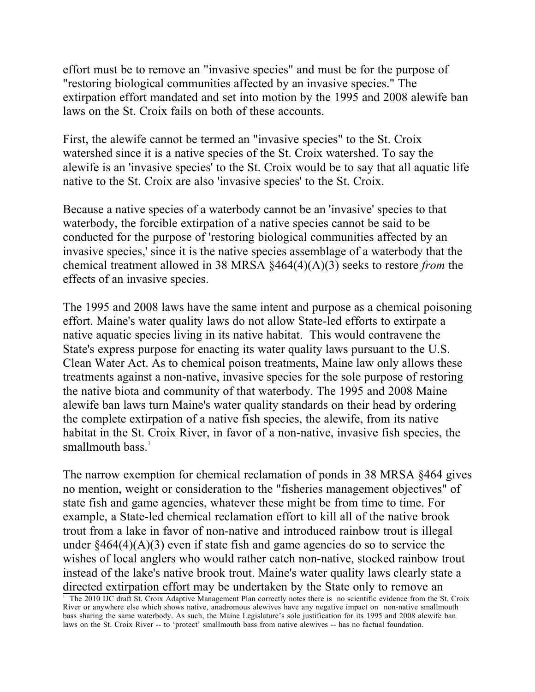effort must be to remove an "invasive species" and must be for the purpose of "restoring biological communities affected by an invasive species." The extirpation effort mandated and set into motion by the 1995 and 2008 alewife ban laws on the St. Croix fails on both of these accounts.

First, the alewife cannot be termed an "invasive species" to the St. Croix watershed since it is a native species of the St. Croix watershed. To say the alewife is an 'invasive species' to the St. Croix would be to say that all aquatic life native to the St. Croix are also 'invasive species' to the St. Croix.

Because a native species of a waterbody cannot be an 'invasive' species to that waterbody, the forcible extirpation of a native species cannot be said to be conducted for the purpose of 'restoring biological communities affected by an invasive species,' since it is the native species assemblage of a waterbody that the chemical treatment allowed in 38 MRSA §464(4)(A)(3) seeks to restore *from* the effects of an invasive species.

The 1995 and 2008 laws have the same intent and purpose as a chemical poisoning effort. Maine's water quality laws do not allow State-led efforts to extirpate a native aquatic species living in its native habitat. This would contravene the State's express purpose for enacting its water quality laws pursuant to the U.S. Clean Water Act. As to chemical poison treatments, Maine law only allows these treatments against a non-native, invasive species for the sole purpose of restoring the native biota and community of that waterbody. The 1995 and 2008 Maine alewife ban laws turn Maine's water quality standards on their head by ordering the complete extirpation of a native fish species, the alewife, from its native habitat in the St. Croix River, in favor of a non-native, invasive fish species, the smallmouth bass. $<sup>1</sup>$ </sup>

The narrow exemption for chemical reclamation of ponds in 38 MRSA §464 gives no mention, weight or consideration to the "fisheries management objectives" of state fish and game agencies, whatever these might be from time to time. For example, a State-led chemical reclamation effort to kill all of the native brook trout from a lake in favor of non-native and introduced rainbow trout is illegal under  $§464(4)(A)(3)$  even if state fish and game agencies do so to service the wishes of local anglers who would rather catch non-native, stocked rainbow trout instead of the lake's native brook trout. Maine's water quality laws clearly state a directed extirpation effort may be undertaken by the State only to remove an 1

The 2010 IJC draft St. Croix Adaptive Management Plan correctly notes there is no scientific evidence from the St. Croix River or anywhere else which shows native, anadromous alewives have any negative impact on non-native smallmouth bass sharing the same waterbody. As such, the Maine Legislature's sole justification for its 1995 and 2008 alewife ban laws on the St. Croix River -- to 'protect' smallmouth bass from native alewives -- has no factual foundation.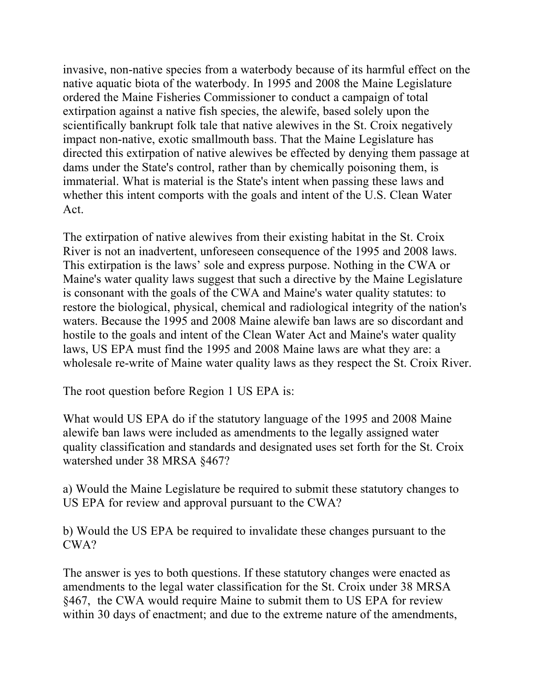invasive, non-native species from a waterbody because of its harmful effect on the native aquatic biota of the waterbody. In 1995 and 2008 the Maine Legislature ordered the Maine Fisheries Commissioner to conduct a campaign of total extirpation against a native fish species, the alewife, based solely upon the scientifically bankrupt folk tale that native alewives in the St. Croix negatively impact non-native, exotic smallmouth bass. That the Maine Legislature has directed this extirpation of native alewives be effected by denying them passage at dams under the State's control, rather than by chemically poisoning them, is immaterial. What is material is the State's intent when passing these laws and whether this intent comports with the goals and intent of the U.S. Clean Water Act.

The extirpation of native alewives from their existing habitat in the St. Croix River is not an inadvertent, unforeseen consequence of the 1995 and 2008 laws. This extirpation is the laws' sole and express purpose. Nothing in the CWA or Maine's water quality laws suggest that such a directive by the Maine Legislature is consonant with the goals of the CWA and Maine's water quality statutes: to restore the biological, physical, chemical and radiological integrity of the nation's waters. Because the 1995 and 2008 Maine alewife ban laws are so discordant and hostile to the goals and intent of the Clean Water Act and Maine's water quality laws, US EPA must find the 1995 and 2008 Maine laws are what they are: a wholesale re-write of Maine water quality laws as they respect the St. Croix River.

The root question before Region 1 US EPA is:

What would US EPA do if the statutory language of the 1995 and 2008 Maine alewife ban laws were included as amendments to the legally assigned water quality classification and standards and designated uses set forth for the St. Croix watershed under 38 MRSA §467?

a) Would the Maine Legislature be required to submit these statutory changes to US EPA for review and approval pursuant to the CWA?

b) Would the US EPA be required to invalidate these changes pursuant to the CWA?

The answer is yes to both questions. If these statutory changes were enacted as amendments to the legal water classification for the St. Croix under 38 MRSA §467, the CWA would require Maine to submit them to US EPA for review within 30 days of enactment; and due to the extreme nature of the amendments,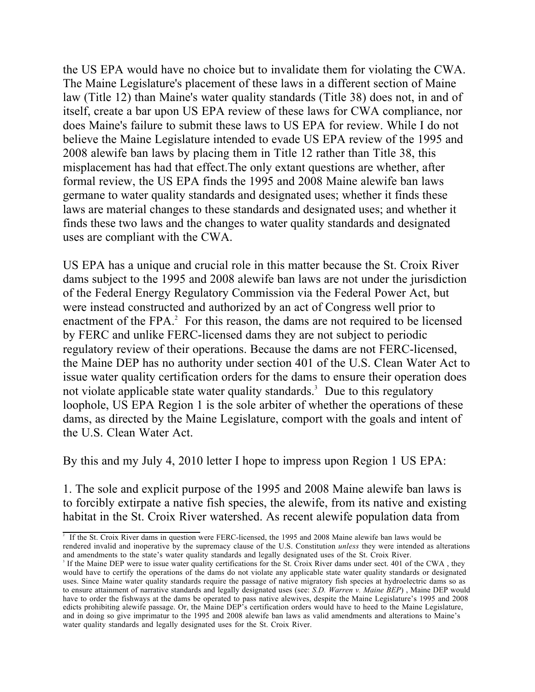the US EPA would have no choice but to invalidate them for violating the CWA. The Maine Legislature's placement of these laws in a different section of Maine law (Title 12) than Maine's water quality standards (Title 38) does not, in and of itself, create a bar upon US EPA review of these laws for CWA compliance, nor does Maine's failure to submit these laws to US EPA for review. While I do not believe the Maine Legislature intended to evade US EPA review of the 1995 and 2008 alewife ban laws by placing them in Title 12 rather than Title 38, this misplacement has had that effect.The only extant questions are whether, after formal review, the US EPA finds the 1995 and 2008 Maine alewife ban laws germane to water quality standards and designated uses; whether it finds these laws are material changes to these standards and designated uses; and whether it finds these two laws and the changes to water quality standards and designated uses are compliant with the CWA.

US EPA has a unique and crucial role in this matter because the St. Croix River dams subject to the 1995 and 2008 alewife ban laws are not under the jurisdiction of the Federal Energy Regulatory Commission via the Federal Power Act, but were instead constructed and authorized by an act of Congress well prior to enactment of the FPA.<sup>2</sup> For this reason, the dams are not required to be licensed by FERC and unlike FERC-licensed dams they are not subject to periodic regulatory review of their operations. Because the dams are not FERC-licensed, the Maine DEP has no authority under section 401 of the U.S. Clean Water Act to issue water quality certification orders for the dams to ensure their operation does not violate applicable state water quality standards.<sup>3</sup> Due to this regulatory loophole, US EPA Region 1 is the sole arbiter of whether the operations of these dams, as directed by the Maine Legislature, comport with the goals and intent of the U.S. Clean Water Act.

By this and my July 4, 2010 letter I hope to impress upon Region 1 US EPA:

1. The sole and explicit purpose of the 1995 and 2008 Maine alewife ban laws is to forcibly extirpate a native fish species, the alewife, from its native and existing habitat in the St. Croix River watershed. As recent alewife population data from

<sup>&</sup>lt;sup>2</sup> If the St. Croix River dams in question were FERC-licensed, the 1995 and 2008 Maine alewife ban laws would be rendered invalid and inoperative by the supremacy clause of the U.S. Constitution *unless* they were intended as alterations and amendments to the state's water quality standards and legally designated uses of the St. Croix River.

<sup>&</sup>lt;sup>3</sup> If the Maine DEP were to issue water quality certifications for the St. Croix River dams under sect. 401 of the CWA, they would have to certify the operations of the dams do not violate any applicable state water quality standards or designated uses. Since Maine water quality standards require the passage of native migratory fish species at hydroelectric dams so as to ensure attainment of narrative standards and legally designated uses (see: *S.D. Warren v. Maine BEP*) , Maine DEP would have to order the fishways at the dams be operated to pass native alewives, despite the Maine Legislature's 1995 and 2008 edicts prohibiting alewife passage. Or, the Maine DEP's certification orders would have to heed to the Maine Legislature, and in doing so give imprimatur to the 1995 and 2008 alewife ban laws as valid amendments and alterations to Maine's water quality standards and legally designated uses for the St. Croix River.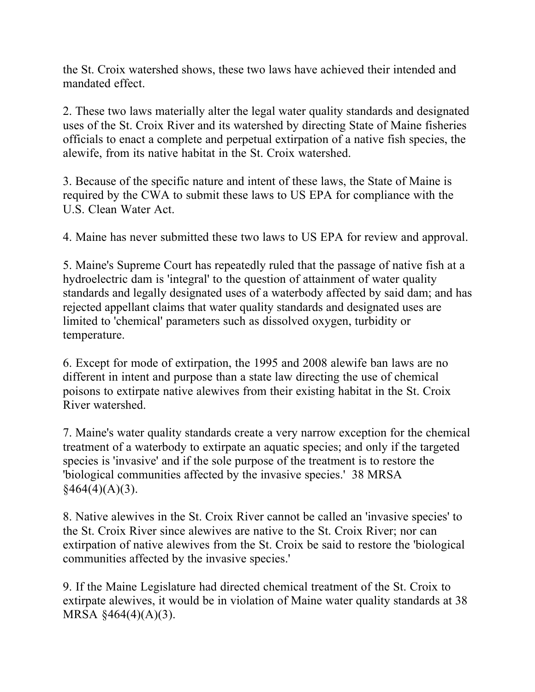the St. Croix watershed shows, these two laws have achieved their intended and mandated effect.

2. These two laws materially alter the legal water quality standards and designated uses of the St. Croix River and its watershed by directing State of Maine fisheries officials to enact a complete and perpetual extirpation of a native fish species, the alewife, from its native habitat in the St. Croix watershed.

3. Because of the specific nature and intent of these laws, the State of Maine is required by the CWA to submit these laws to US EPA for compliance with the U.S. Clean Water Act.

4. Maine has never submitted these two laws to US EPA for review and approval.

5. Maine's Supreme Court has repeatedly ruled that the passage of native fish at a hydroelectric dam is 'integral' to the question of attainment of water quality standards and legally designated uses of a waterbody affected by said dam; and has rejected appellant claims that water quality standards and designated uses are limited to 'chemical' parameters such as dissolved oxygen, turbidity or temperature.

6. Except for mode of extirpation, the 1995 and 2008 alewife ban laws are no different in intent and purpose than a state law directing the use of chemical poisons to extirpate native alewives from their existing habitat in the St. Croix River watershed.

7. Maine's water quality standards create a very narrow exception for the chemical treatment of a waterbody to extirpate an aquatic species; and only if the targeted species is 'invasive' and if the sole purpose of the treatment is to restore the 'biological communities affected by the invasive species.' 38 MRSA  $§464(4)(A)(3).$ 

8. Native alewives in the St. Croix River cannot be called an 'invasive species' to the St. Croix River since alewives are native to the St. Croix River; nor can extirpation of native alewives from the St. Croix be said to restore the 'biological communities affected by the invasive species.'

9. If the Maine Legislature had directed chemical treatment of the St. Croix to extirpate alewives, it would be in violation of Maine water quality standards at 38 MRSA §464(4)(A)(3).